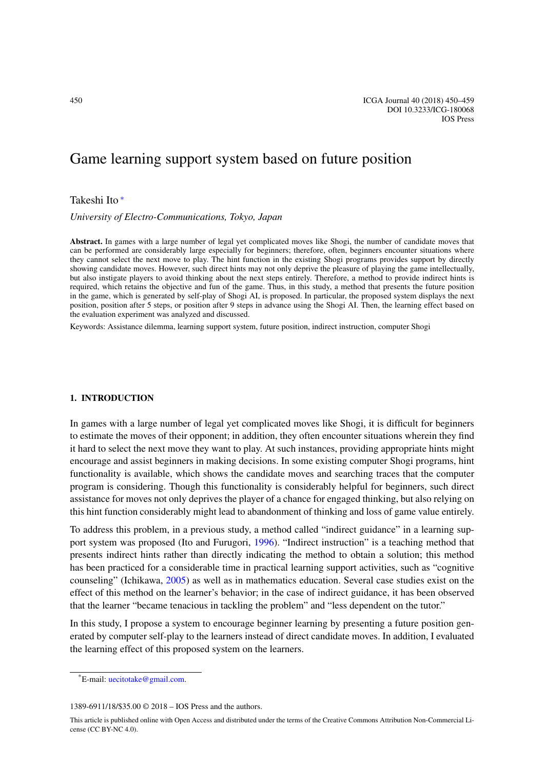# Game learning support system based on future position

## Takeshi Ito [∗](#page-0-0)

*University of Electro-Communications, Tokyo, Japan*

**Abstract.** In games with a large number of legal yet complicated moves like Shogi, the number of candidate moves that can be performed are considerably large especially for beginners; therefore, often, beginners encounter situations where they cannot select the next move to play. The hint function in the existing Shogi programs provides support by directly showing candidate moves. However, such direct hints may not only deprive the pleasure of playing the game intellectually, but also instigate players to avoid thinking about the next steps entirely. Therefore, a method to provide indirect hints is required, which retains the objective and fun of the game. Thus, in this study, a method that presents the future position in the game, which is generated by self-play of Shogi AI, is proposed. In particular, the proposed system displays the next position, position after 5 steps, or position after 9 steps in advance using the Shogi AI. Then, the learning effect based on the evaluation experiment was analyzed and discussed.

Keywords: Assistance dilemma, learning support system, future position, indirect instruction, computer Shogi

## **1. INTRODUCTION**

In games with a large number of legal yet complicated moves like Shogi, it is difficult for beginners to estimate the moves of their opponent; in addition, they often encounter situations wherein they find it hard to select the next move they want to play. At such instances, providing appropriate hints might encourage and assist beginners in making decisions. In some existing computer Shogi programs, hint functionality is available, which shows the candidate moves and searching traces that the computer program is considering. Though this functionality is considerably helpful for beginners, such direct assistance for moves not only deprives the player of a chance for engaged thinking, but also relying on this hint function considerably might lead to abandonment of thinking and loss of game value entirely.

To address this problem, in a previous study, a method called "indirect guidance" in a learning support system was proposed (Ito and Furugori, [1996\)](#page-8-0). "Indirect instruction" is a teaching method that presents indirect hints rather than directly indicating the method to obtain a solution; this method has been practiced for a considerable time in practical learning support activities, such as "cognitive counseling" (Ichikawa, [2005](#page-8-1)) as well as in mathematics education. Several case studies exist on the effect of this method on the learner's behavior; in the case of indirect guidance, it has been observed that the learner "became tenacious in tackling the problem" and "less dependent on the tutor."

In this study, I propose a system to encourage beginner learning by presenting a future position generated by computer self-play to the learners instead of direct candidate moves. In addition, I evaluated the learning effect of this proposed system on the learners.

<span id="page-0-0"></span><sup>\*</sup>E-mail: [uecitotake@gmail.com.](mailto:uecitotake@gmail.com)

<sup>1389-6911/18/\$35.00 © 2018 –</sup> IOS Press and the authors.

This article is published online with Open Access and distributed under the terms of the Creative Commons Attribution Non-Commercial License (CC BY-NC 4.0).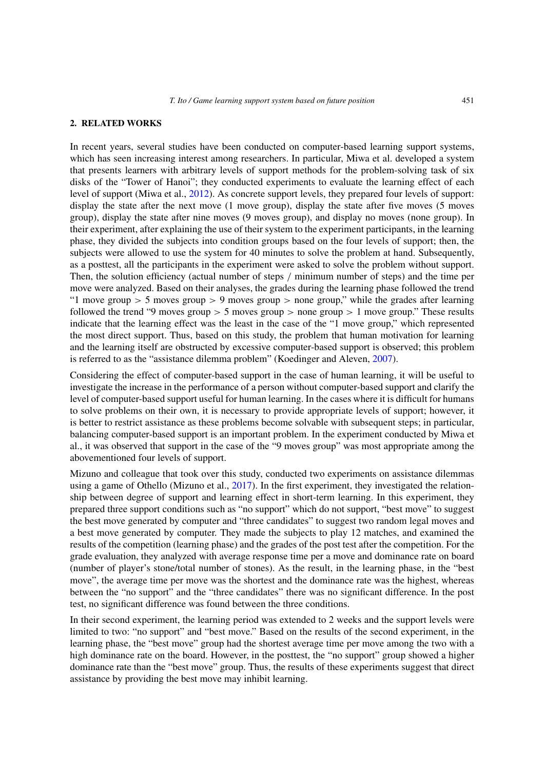#### **2. RELATED WORKS**

In recent years, several studies have been conducted on computer-based learning support systems, which has seen increasing interest among researchers. In particular, Miwa et al. developed a system that presents learners with arbitrary levels of support methods for the problem-solving task of six disks of the "Tower of Hanoi"; they conducted experiments to evaluate the learning effect of each level of support (Miwa et al., [2012\)](#page-9-0). As concrete support levels, they prepared four levels of support: display the state after the next move (1 move group), display the state after five moves (5 moves group), display the state after nine moves (9 moves group), and display no moves (none group). In their experiment, after explaining the use of their system to the experiment participants, in the learning phase, they divided the subjects into condition groups based on the four levels of support; then, the subjects were allowed to use the system for 40 minutes to solve the problem at hand. Subsequently, as a posttest, all the participants in the experiment were asked to solve the problem without support. Then, the solution efficiency (actual number of steps */* minimum number of steps) and the time per move were analyzed. Based on their analyses, the grades during the learning phase followed the trend "1 move group *>* 5 moves group *>* 9 moves group *>* none group," while the grades after learning followed the trend "9 moves group  $> 5$  moves group  $>$  none group  $> 1$  move group." These results indicate that the learning effect was the least in the case of the "1 move group," which represented the most direct support. Thus, based on this study, the problem that human motivation for learning and the learning itself are obstructed by excessive computer-based support is observed; this problem is referred to as the "assistance dilemma problem" (Koedinger and Aleven, [2007](#page-9-1)).

Considering the effect of computer-based support in the case of human learning, it will be useful to investigate the increase in the performance of a person without computer-based support and clarify the level of computer-based support useful for human learning. In the cases where it is difficult for humans to solve problems on their own, it is necessary to provide appropriate levels of support; however, it is better to restrict assistance as these problems become solvable with subsequent steps; in particular, balancing computer-based support is an important problem. In the experiment conducted by Miwa et al., it was observed that support in the case of the "9 moves group" was most appropriate among the abovementioned four levels of support.

Mizuno and colleague that took over this study, conducted two experiments on assistance dilemmas using a game of Othello (Mizuno et al., [2017\)](#page-9-2). In the first experiment, they investigated the relationship between degree of support and learning effect in short-term learning. In this experiment, they prepared three support conditions such as "no support" which do not support, "best move" to suggest the best move generated by computer and "three candidates" to suggest two random legal moves and a best move generated by computer. They made the subjects to play 12 matches, and examined the results of the competition (learning phase) and the grades of the post test after the competition. For the grade evaluation, they analyzed with average response time per a move and dominance rate on board (number of player's stone/total number of stones). As the result, in the learning phase, in the "best move", the average time per move was the shortest and the dominance rate was the highest, whereas between the "no support" and the "three candidates" there was no significant difference. In the post test, no significant difference was found between the three conditions.

In their second experiment, the learning period was extended to 2 weeks and the support levels were limited to two: "no support" and "best move." Based on the results of the second experiment, in the learning phase, the "best move" group had the shortest average time per move among the two with a high dominance rate on the board. However, in the posttest, the "no support" group showed a higher dominance rate than the "best move" group. Thus, the results of these experiments suggest that direct assistance by providing the best move may inhibit learning.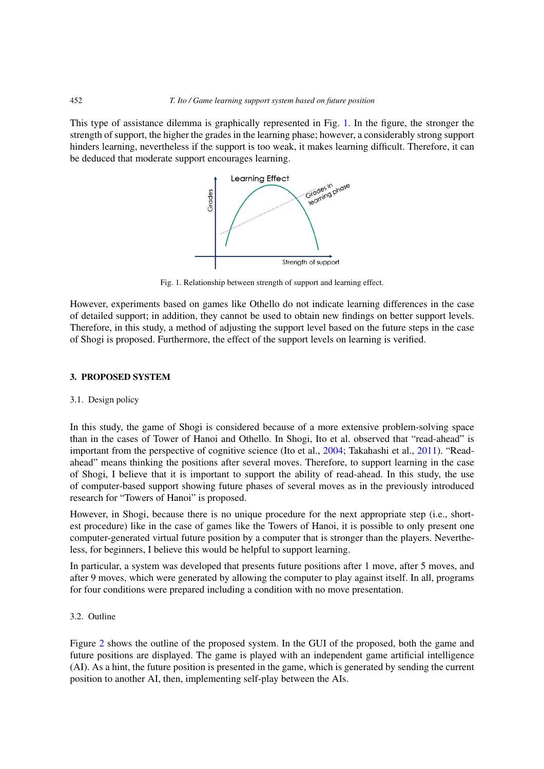This type of assistance dilemma is graphically represented in Fig. [1.](#page-2-0) In the figure, the stronger the strength of support, the higher the grades in the learning phase; however, a considerably strong support hinders learning, nevertheless if the support is too weak, it makes learning difficult. Therefore, it can be deduced that moderate support encourages learning.



<span id="page-2-0"></span>Fig. 1. Relationship between strength of support and learning effect.

However, experiments based on games like Othello do not indicate learning differences in the case of detailed support; in addition, they cannot be used to obtain new findings on better support levels. Therefore, in this study, a method of adjusting the support level based on the future steps in the case of Shogi is proposed. Furthermore, the effect of the support levels on learning is verified.

## **3. PROPOSED SYSTEM**

#### 3.1. Design policy

In this study, the game of Shogi is considered because of a more extensive problem-solving space than in the cases of Tower of Hanoi and Othello. In Shogi, Ito et al. observed that "read-ahead" is important from the perspective of cognitive science (Ito et al., [2004](#page-9-3); Takahashi et al., [2011](#page-9-4)). "Readahead" means thinking the positions after several moves. Therefore, to support learning in the case of Shogi, I believe that it is important to support the ability of read-ahead. In this study, the use of computer-based support showing future phases of several moves as in the previously introduced research for "Towers of Hanoi" is proposed.

However, in Shogi, because there is no unique procedure for the next appropriate step (i.e., shortest procedure) like in the case of games like the Towers of Hanoi, it is possible to only present one computer-generated virtual future position by a computer that is stronger than the players. Nevertheless, for beginners, I believe this would be helpful to support learning.

In particular, a system was developed that presents future positions after 1 move, after 5 moves, and after 9 moves, which were generated by allowing the computer to play against itself. In all, programs for four conditions were prepared including a condition with no move presentation.

## 3.2. Outline

Figure [2](#page-3-0) shows the outline of the proposed system. In the GUI of the proposed, both the game and future positions are displayed. The game is played with an independent game artificial intelligence (AI). As a hint, the future position is presented in the game, which is generated by sending the current position to another AI, then, implementing self-play between the AIs.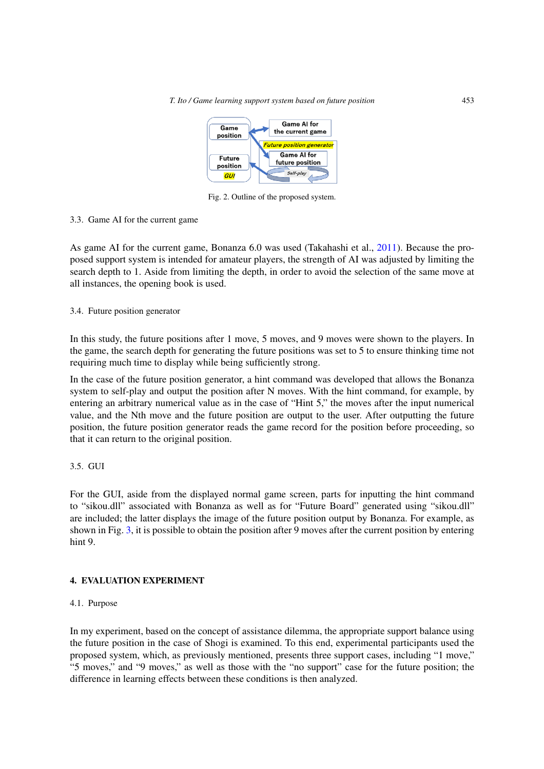*T. Ito / Game learning support system based on future position* 453



<span id="page-3-0"></span>Fig. 2. Outline of the proposed system.

## 3.3. Game AI for the current game

As game AI for the current game, Bonanza 6.0 was used (Takahashi et al., [2011](#page-9-4)). Because the proposed support system is intended for amateur players, the strength of AI was adjusted by limiting the search depth to 1. Aside from limiting the depth, in order to avoid the selection of the same move at all instances, the opening book is used.

3.4. Future position generator

In this study, the future positions after 1 move, 5 moves, and 9 moves were shown to the players. In the game, the search depth for generating the future positions was set to 5 to ensure thinking time not requiring much time to display while being sufficiently strong.

In the case of the future position generator, a hint command was developed that allows the Bonanza system to self-play and output the position after N moves. With the hint command, for example, by entering an arbitrary numerical value as in the case of "Hint 5," the moves after the input numerical value, and the Nth move and the future position are output to the user. After outputting the future position, the future position generator reads the game record for the position before proceeding, so that it can return to the original position.

3.5. GUI

For the GUI, aside from the displayed normal game screen, parts for inputting the hint command to "sikou.dll" associated with Bonanza as well as for "Future Board" generated using "sikou.dll" are included; the latter displays the image of the future position output by Bonanza. For example, as shown in Fig. [3,](#page-4-0) it is possible to obtain the position after 9 moves after the current position by entering hint 9.

## **4. EVALUATION EXPERIMENT**

#### 4.1. Purpose

In my experiment, based on the concept of assistance dilemma, the appropriate support balance using the future position in the case of Shogi is examined. To this end, experimental participants used the proposed system, which, as previously mentioned, presents three support cases, including "1 move," "5 moves," and "9 moves," as well as those with the "no support" case for the future position; the difference in learning effects between these conditions is then analyzed.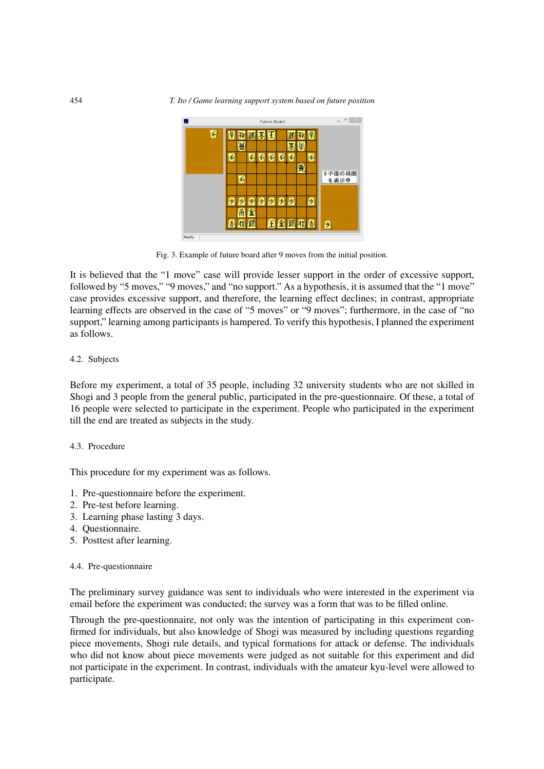

<span id="page-4-0"></span>Fig. 3. Example of future board after 9 moves from the initial position.

It is believed that the "1 move" case will provide lesser support in the order of excessive support, followed by "5 moves," "9 moves," and "no support." As a hypothesis, it is assumed that the "1 move" case provides excessive support, and therefore, the learning effect declines; in contrast, appropriate learning effects are observed in the case of "5 moves" or "9 moves"; furthermore, in the case of "no support," learning among participants is hampered. To verify this hypothesis, I planned the experiment as follows.

#### 4.2. Subjects

Before my experiment, a total of 35 people, including 32 university students who are not skilled in Shogi and 3 people from the general public, participated in the pre-questionnaire. Of these, a total of 16 people were selected to participate in the experiment. People who participated in the experiment till the end are treated as subjects in the study.

#### 4.3. Procedure

This procedure for my experiment was as follows.

- 1. Pre-questionnaire before the experiment.
- 2. Pre-test before learning.
- 3. Learning phase lasting 3 days.
- 4. Questionnaire.
- 5. Posttest after learning.

#### 4.4. Pre-questionnaire

The preliminary survey guidance was sent to individuals who were interested in the experiment via email before the experiment was conducted; the survey was a form that was to be filled online.

Through the pre-questionnaire, not only was the intention of participating in this experiment confirmed for individuals, but also knowledge of Shogi was measured by including questions regarding piece movements, Shogi rule details, and typical formations for attack or defense. The individuals who did not know about piece movements were judged as not suitable for this experiment and did not participate in the experiment. In contrast, individuals with the amateur kyu-level were allowed to participate.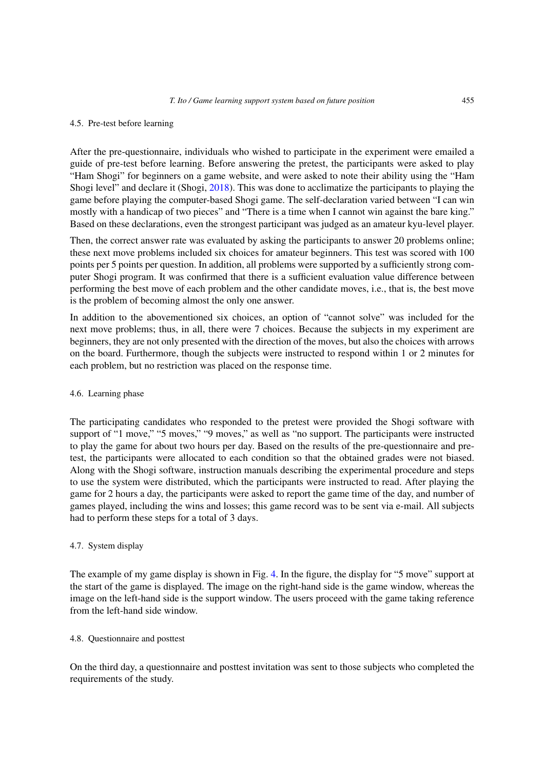#### 4.5. Pre-test before learning

After the pre-questionnaire, individuals who wished to participate in the experiment were emailed a guide of pre-test before learning. Before answering the pretest, the participants were asked to play "Ham Shogi" for beginners on a game website, and were asked to note their ability using the "Ham Shogi level" and declare it (Shogi, [2018\)](#page-8-2). This was done to acclimatize the participants to playing the game before playing the computer-based Shogi game. The self-declaration varied between "I can win mostly with a handicap of two pieces" and "There is a time when I cannot win against the bare king." Based on these declarations, even the strongest participant was judged as an amateur kyu-level player.

Then, the correct answer rate was evaluated by asking the participants to answer 20 problems online; these next move problems included six choices for amateur beginners. This test was scored with 100 points per 5 points per question. In addition, all problems were supported by a sufficiently strong computer Shogi program. It was confirmed that there is a sufficient evaluation value difference between performing the best move of each problem and the other candidate moves, i.e., that is, the best move is the problem of becoming almost the only one answer.

In addition to the abovementioned six choices, an option of "cannot solve" was included for the next move problems; thus, in all, there were 7 choices. Because the subjects in my experiment are beginners, they are not only presented with the direction of the moves, but also the choices with arrows on the board. Furthermore, though the subjects were instructed to respond within 1 or 2 minutes for each problem, but no restriction was placed on the response time.

## 4.6. Learning phase

The participating candidates who responded to the pretest were provided the Shogi software with support of "1 move," "5 moves," "9 moves," as well as "no support. The participants were instructed to play the game for about two hours per day. Based on the results of the pre-questionnaire and pretest, the participants were allocated to each condition so that the obtained grades were not biased. Along with the Shogi software, instruction manuals describing the experimental procedure and steps to use the system were distributed, which the participants were instructed to read. After playing the game for 2 hours a day, the participants were asked to report the game time of the day, and number of games played, including the wins and losses; this game record was to be sent via e-mail. All subjects had to perform these steps for a total of 3 days.

## 4.7. System display

The example of my game display is shown in Fig. [4.](#page-6-0) In the figure, the display for "5 move" support at the start of the game is displayed. The image on the right-hand side is the game window, whereas the image on the left-hand side is the support window. The users proceed with the game taking reference from the left-hand side window.

#### 4.8. Questionnaire and posttest

On the third day, a questionnaire and posttest invitation was sent to those subjects who completed the requirements of the study.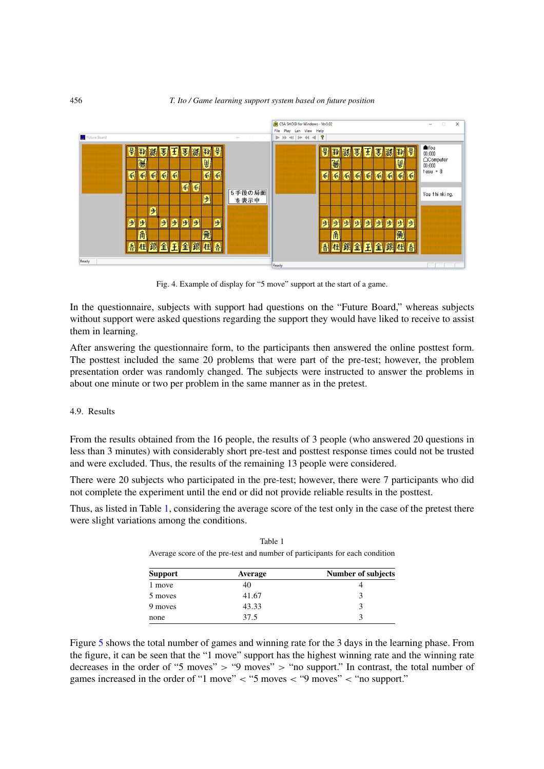

<span id="page-6-0"></span>Fig. 4. Example of display for "5 move" support at the start of a game.

In the questionnaire, subjects with support had questions on the "Future Board," whereas subjects without support were asked questions regarding the support they would have liked to receive to assist them in learning.

After answering the questionnaire form, to the participants then answered the online posttest form. The posttest included the same 20 problems that were part of the pre-test; however, the problem presentation order was randomly changed. The subjects were instructed to answer the problems in about one minute or two per problem in the same manner as in the pretest.

#### 4.9. Results

From the results obtained from the 16 people, the results of 3 people (who answered 20 questions in less than 3 minutes) with considerably short pre-test and posttest response times could not be trusted and were excluded. Thus, the results of the remaining 13 people were considered.

There were 20 subjects who participated in the pre-test; however, there were 7 participants who did not complete the experiment until the end or did not provide reliable results in the posttest.

Thus, as listed in Table [1,](#page-6-1) considering the average score of the test only in the case of the pretest there were slight variations among the conditions.

<span id="page-6-1"></span>

| Support | <b>Average</b> | Number of subjects |
|---------|----------------|--------------------|
| 1 move  | 40             |                    |
| 5 moves | 41.67          |                    |
| 9 moves | 43.33          |                    |
| none    | 37.5           |                    |

Table 1 Average score of the pre-test and number of participants for each condition

Figure [5](#page-7-0) shows the total number of games and winning rate for the 3 days in the learning phase. From the figure, it can be seen that the "1 move" support has the highest winning rate and the winning rate decreases in the order of "5 moves" > "9 moves" > "no support." In contrast, the total number of games increased in the order of "1 move" *<* "5 moves *<* "9 moves" *<* "no support."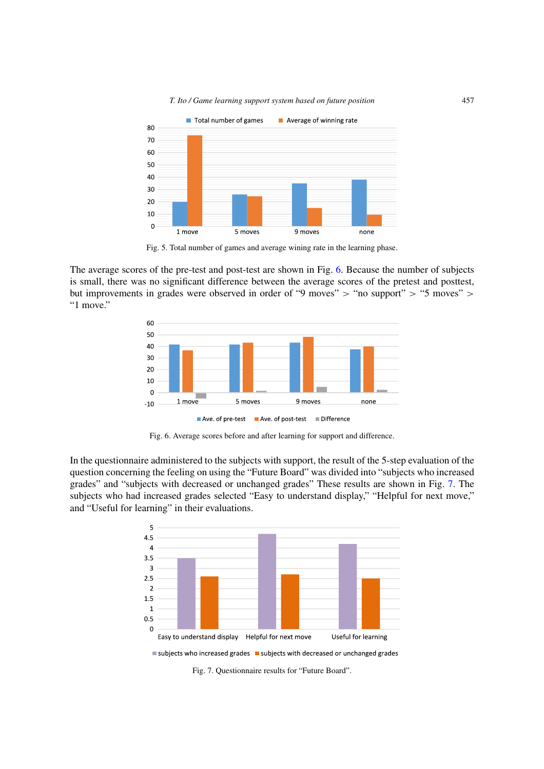*T. Ito / Game learning support system based on future position* 457



<span id="page-7-0"></span>Fig. 5. Total number of games and average wining rate in the learning phase.

The average scores of the pre-test and post-test are shown in Fig. [6.](#page-7-1) Because the number of subjects is small, there was no significant difference between the average scores of the pretest and posttest, but improvements in grades were observed in order of "9 moves" > "no support" > "5 moves" > "1 move."



<span id="page-7-1"></span>Fig. 6. Average scores before and after learning for support and difference.

In the questionnaire administered to the subjects with support, the result of the 5-step evaluation of the question concerning the feeling on using the "Future Board" was divided into "subjects who increased grades" and "subjects with decreased or unchanged grades" These results are shown in Fig. [7.](#page-7-2) The subjects who had increased grades selected "Easy to understand display," "Helpful for next move," and "Useful for learning" in their evaluations.



<span id="page-7-2"></span>Fig. 7. Questionnaire results for "Future Board".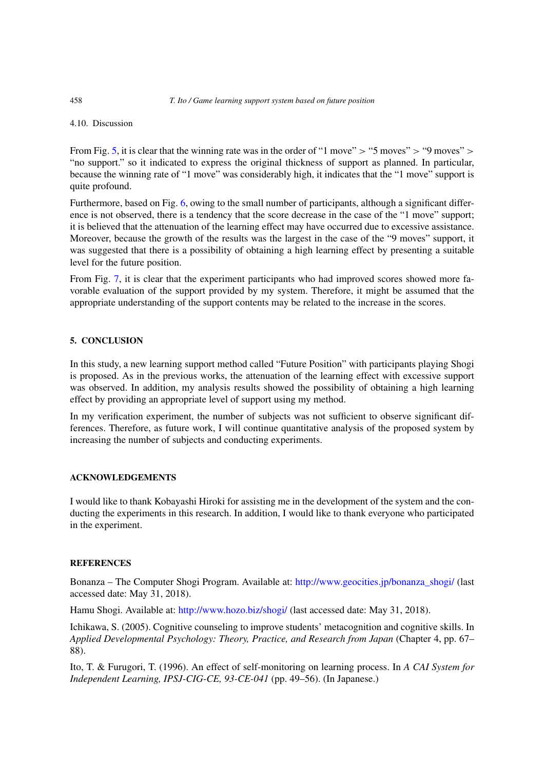4.10. Discussion

From Fig. [5,](#page-7-0) it is clear that the winning rate was in the order of "1 move" *>* "5 moves" *>* "9 moves" *>* "no support." so it indicated to express the original thickness of support as planned. In particular, because the winning rate of "1 move" was considerably high, it indicates that the "1 move" support is quite profound.

Furthermore, based on Fig. [6,](#page-7-1) owing to the small number of participants, although a significant difference is not observed, there is a tendency that the score decrease in the case of the "1 move" support; it is believed that the attenuation of the learning effect may have occurred due to excessive assistance. Moreover, because the growth of the results was the largest in the case of the "9 moves" support, it was suggested that there is a possibility of obtaining a high learning effect by presenting a suitable level for the future position.

From Fig. [7,](#page-7-2) it is clear that the experiment participants who had improved scores showed more favorable evaluation of the support provided by my system. Therefore, it might be assumed that the appropriate understanding of the support contents may be related to the increase in the scores.

# **5. CONCLUSION**

In this study, a new learning support method called "Future Position" with participants playing Shogi is proposed. As in the previous works, the attenuation of the learning effect with excessive support was observed. In addition, my analysis results showed the possibility of obtaining a high learning effect by providing an appropriate level of support using my method.

In my verification experiment, the number of subjects was not sufficient to observe significant differences. Therefore, as future work, I will continue quantitative analysis of the proposed system by increasing the number of subjects and conducting experiments.

## **ACKNOWLEDGEMENTS**

I would like to thank Kobayashi Hiroki for assisting me in the development of the system and the conducting the experiments in this research. In addition, I would like to thank everyone who participated in the experiment.

# **REFERENCES**

Bonanza – The Computer Shogi Program. Available at: [http://www.geocities.jp/bonanza\\_shogi/](http://www.geocities.jp/bonanza_shogi/) (last accessed date: May 31, 2018).

<span id="page-8-2"></span>Hamu Shogi. Available at: <http://www.hozo.biz/shogi/> (last accessed date: May 31, 2018).

<span id="page-8-1"></span>Ichikawa, S. (2005). Cognitive counseling to improve students' metacognition and cognitive skills. In *Applied Developmental Psychology: Theory, Practice, and Research from Japan* (Chapter 4, pp. 67– 88).

<span id="page-8-0"></span>Ito, T. & Furugori, T. (1996). An effect of self-monitoring on learning process. In *A CAI System for Independent Learning, IPSJ-CIG-CE, 93-CE-041* (pp. 49–56). (In Japanese.)